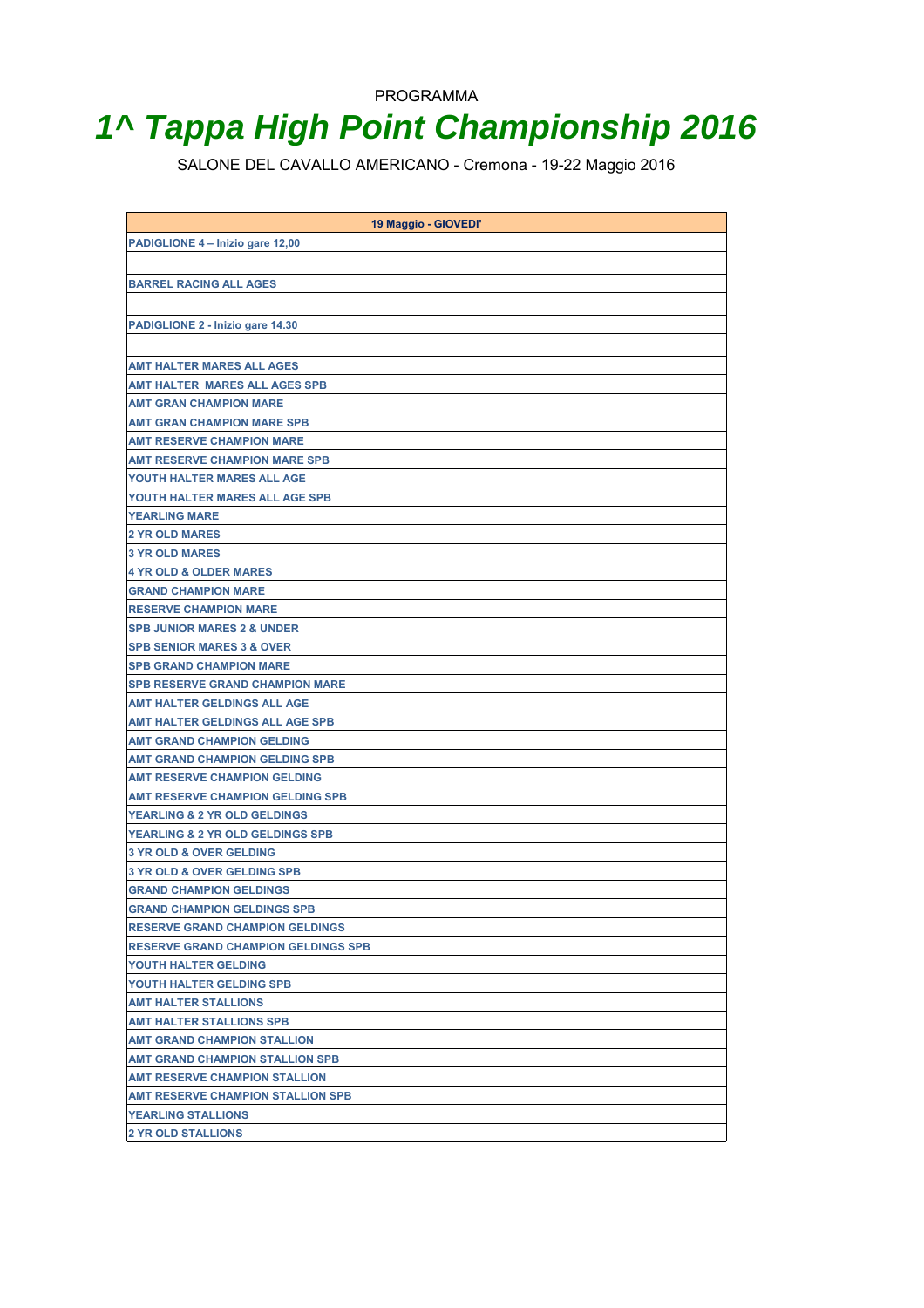# **1^ Tappa High Point Championship 2016**

SALONE DEL CAVALLO AMERICANO - Cremona - 19-22 Maggio 2016

| 19 Maggio - GIOVEDI'                        |
|---------------------------------------------|
| PADIGLIONE 4 - Inizio gare 12,00            |
|                                             |
| <b>BARREL RACING ALL AGES</b>               |
|                                             |
|                                             |
| PADIGLIONE 2 - Inizio gare 14.30            |
|                                             |
| <b>AMT HALTER MARES ALL AGES</b>            |
| <b>AMT HALTER MARES ALL AGES SPB</b>        |
| <b>AMT GRAN CHAMPION MARE</b>               |
| AMT GRAN CHAMPION MARE SPB                  |
| <b>AMT RESERVE CHAMPION MARE</b>            |
| AMT RESERVE CHAMPION MARE SPB               |
| YOUTH HALTER MARES ALL AGE                  |
| YOUTH HALTER MARES ALL AGE SPB              |
| <b>YEARLING MARE</b>                        |
| <b>2 YR OLD MARES</b>                       |
| <b>3 YR OLD MARES</b>                       |
| <b>4 YR OLD &amp; OLDER MARES</b>           |
| <b>GRAND CHAMPION MARE</b>                  |
| <b>RESERVE CHAMPION MARE</b>                |
| <b>SPB JUNIOR MARES 2 &amp; UNDER</b>       |
| <b>SPB SENIOR MARES 3 &amp; OVER</b>        |
| <b>SPB GRAND CHAMPION MARE</b>              |
| <b>SPB RESERVE GRAND CHAMPION MARE</b>      |
| <b>AMT HALTER GELDINGS ALL AGE</b>          |
| <b>AMT HALTER GELDINGS ALL AGE SPB</b>      |
| <b>AMT GRAND CHAMPION GELDING</b>           |
| <b>AMT GRAND CHAMPION GELDING SPB</b>       |
| <b>AMT RESERVE CHAMPION GELDING</b>         |
| <b>AMT RESERVE CHAMPION GELDING SPB</b>     |
| <b>YEARLING &amp; 2 YR OLD GELDINGS</b>     |
| <b>YEARLING &amp; 2 YR OLD GELDINGS SPB</b> |
| <b>3 YR OLD &amp; OVER GELDING</b>          |
| <b>3 YR OLD &amp; OVER GELDING SPB</b>      |
| <b>GRAND CHAMPION GELDINGS</b>              |
| <b>GRAND CHAMPION GELDINGS SPB</b>          |
| <b>RESERVE GRAND CHAMPION GELDINGS</b>      |
| <b>RESERVE GRAND CHAMPION GELDINGS SPB</b>  |
| YOUTH HALTER GELDING                        |
| YOUTH HALTER GELDING SPB                    |
| <b>AMT HALTER STALLIONS</b>                 |
| <b>AMT HALTER STALLIONS SPB</b>             |
| <b>AMT GRAND CHAMPION STALLION</b>          |
| <b>AMT GRAND CHAMPION STALLION SPB</b>      |
| <b>AMT RESERVE CHAMPION STALLION</b>        |
| <b>AMT RESERVE CHAMPION STALLION SPB</b>    |
| <b>YEARLING STALLIONS</b>                   |
| <b>2 YR OLD STALLIONS</b>                   |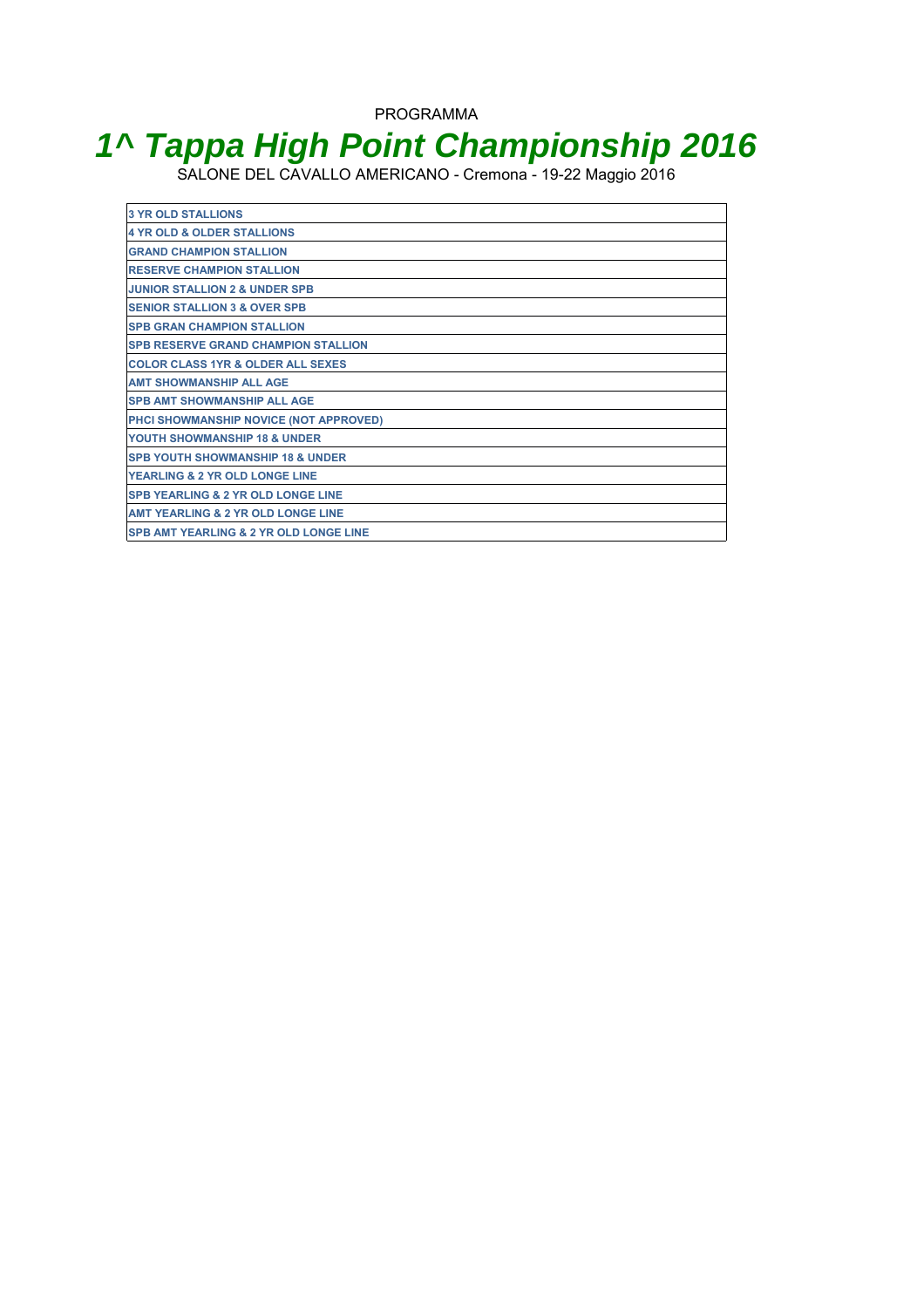## **1^ Tappa High Point Championship 2016**

SALONE DEL CAVALLO AMERICANO - Cremona - 19-22 Maggio 2016

| <b>3 YR OLD STALLIONS</b>                         |
|---------------------------------------------------|
| 4 YR OLD & OLDER STALLIONS                        |
| <b>GRAND CHAMPION STALLION</b>                    |
| <b>IRESERVE CHAMPION STALLION</b>                 |
| <b>JUNIOR STALLION 2 &amp; UNDER SPB</b>          |
| <b>SENIOR STALLION 3 &amp; OVER SPB</b>           |
| <b>ISPB GRAN CHAMPION STALLION</b>                |
| <b>SPB RESERVE GRAND CHAMPION STALLION</b>        |
| <b>COLOR CLASS 1YR &amp; OLDER ALL SEXES</b>      |
| <b>AMT SHOWMANSHIP ALL AGE</b>                    |
| <b>ISPB AMT SHOWMANSHIP ALL AGE</b>               |
| PHCI SHOWMANSHIP NOVICE (NOT APPROVED)            |
| <b>YOUTH SHOWMANSHIP 18 &amp; UNDER</b>           |
| <b>ISPB YOUTH SHOWMANSHIP 18 &amp; UNDER</b>      |
| <b>YEARLING &amp; 2 YR OLD LONGE LINE</b>         |
| <b>SPB YEARLING &amp; 2 YR OLD LONGE LINE</b>     |
| <b>AMT YEARLING &amp; 2 YR OLD LONGE LINE</b>     |
| <b>SPB AMT YEARLING &amp; 2 YR OLD LONGE LINE</b> |
|                                                   |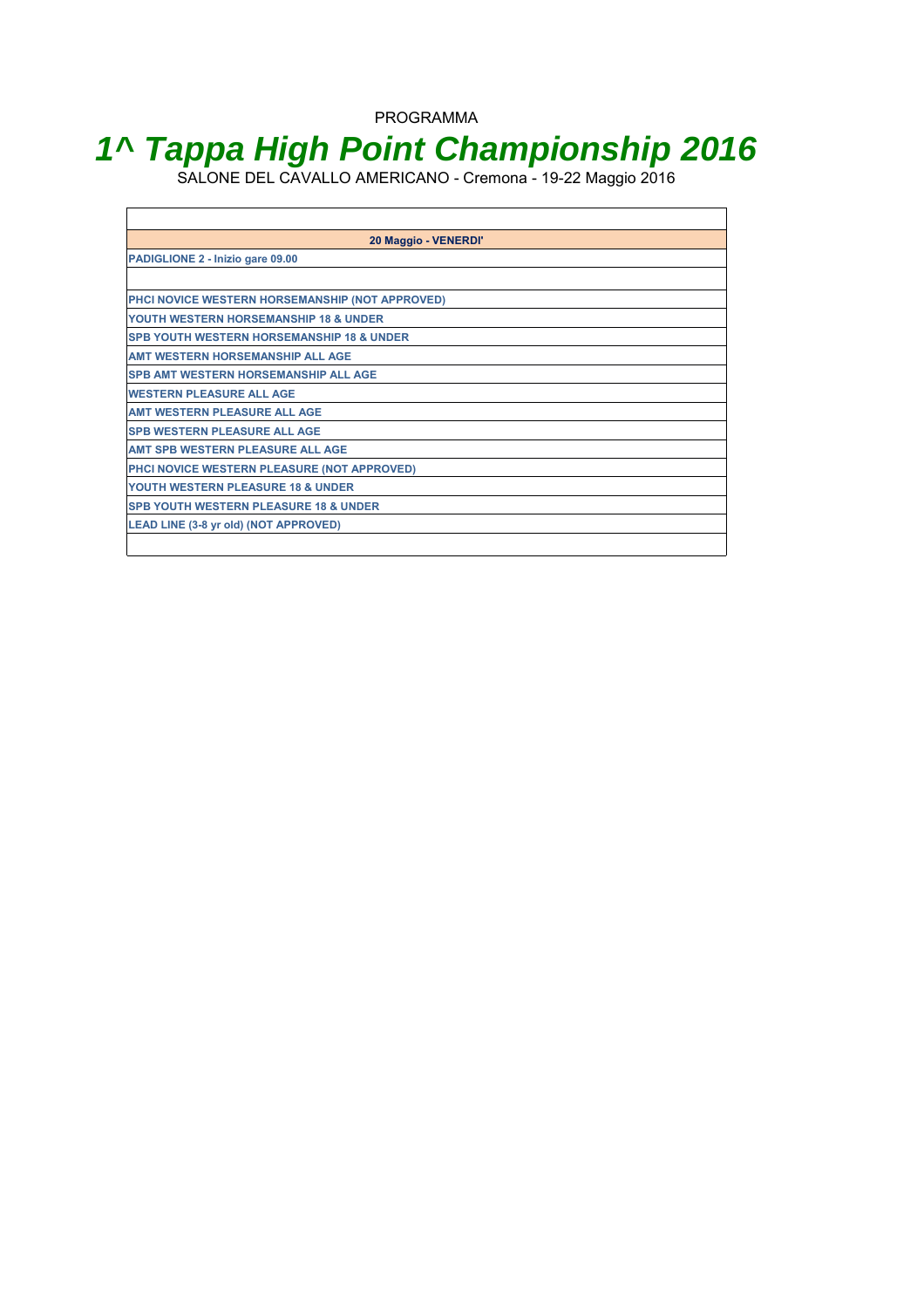## **1^ Tappa High Point Championship 2016**

SALONE DEL CAVALLO AMERICANO - Cremona - 19-22 Maggio 2016

 $\Gamma$ 

| 20 Maggio - VENERDI'                                 |
|------------------------------------------------------|
| PADIGLIONE 2 - Inizio gare 09.00                     |
|                                                      |
| PHCI NOVICE WESTERN HORSEMANSHIP (NOT APPROVED)      |
| YOUTH WESTERN HORSEMANSHIP 18 & UNDER                |
| <b>SPB YOUTH WESTERN HORSEMANSHIP 18 &amp; UNDER</b> |
| <b>AMT WESTERN HORSEMANSHIP ALL AGE</b>              |
| <b>SPB AMT WESTERN HORSEMANSHIP ALL AGE</b>          |
| <b>WESTERN PLEASURE ALL AGE</b>                      |
| <b>AMT WESTERN PLEASURE ALL AGE</b>                  |
| <b>SPB WESTERN PLEASURE ALL AGE</b>                  |
| AMT SPB WESTERN PLEASURE ALL AGE                     |
| PHCI NOVICE WESTERN PLEASURE (NOT APPROVED)          |
| YOUTH WESTERN PLEASURE 18 & UNDER                    |
| <b>SPB YOUTH WESTERN PLEASURE 18 &amp; UNDER</b>     |
| LEAD LINE (3-8 yr old) (NOT APPROVED)                |
|                                                      |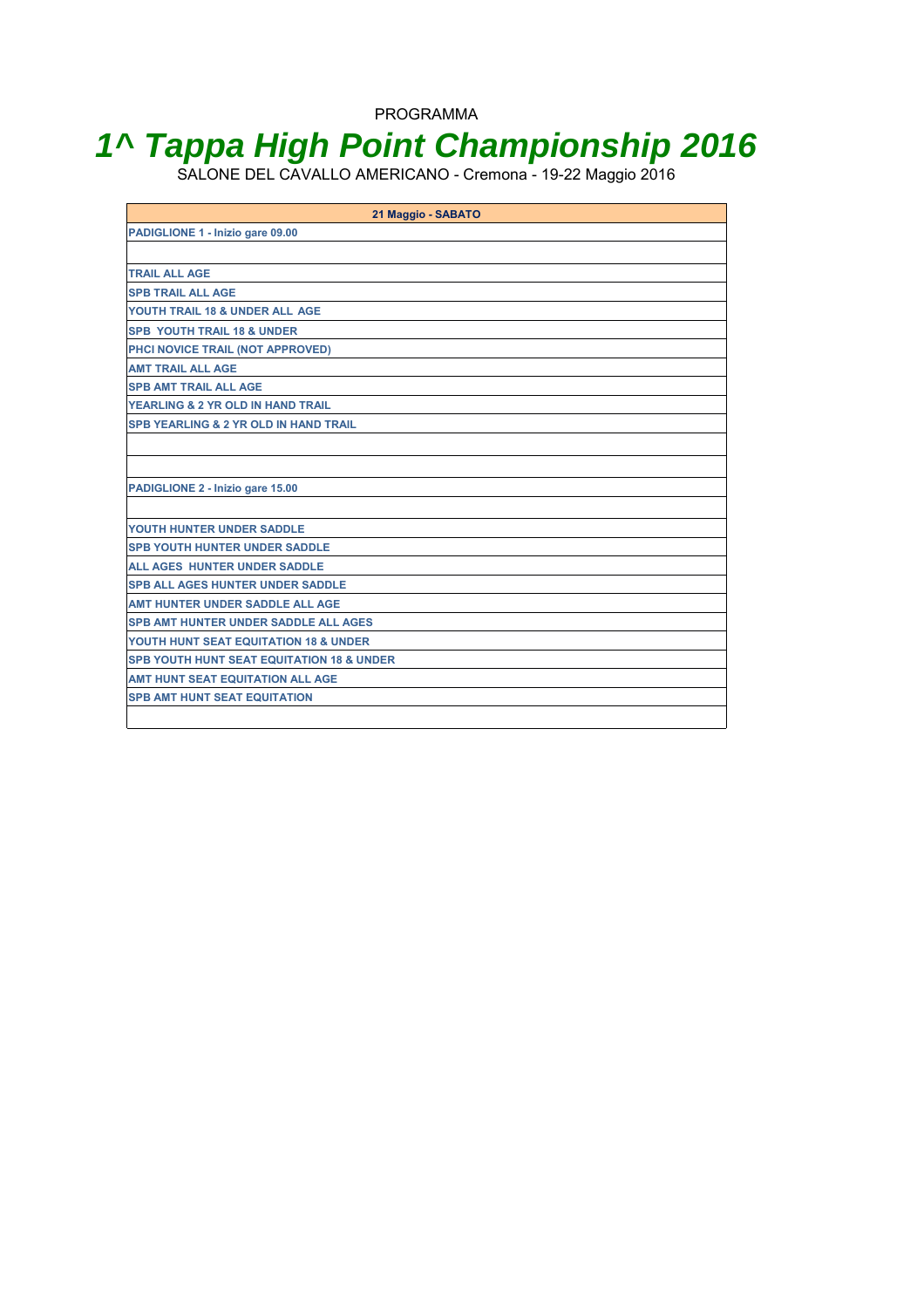## **1^ Tappa High Point Championship 2016**

SALONE DEL CAVALLO AMERICANO - Cremona - 19-22 Maggio 2016

| 21 Maggio - SABATO                                   |
|------------------------------------------------------|
| PADIGLIONE 1 - Inizio gare 09.00                     |
|                                                      |
| <b>TRAIL ALL AGE</b>                                 |
| <b>SPB TRAIL ALL AGE</b>                             |
| YOUTH TRAIL 18 & UNDER ALL AGE                       |
| <b>SPB YOUTH TRAIL 18 &amp; UNDER</b>                |
| PHCI NOVICE TRAIL (NOT APPROVED)                     |
| <b>AMT TRAIL ALL AGE</b>                             |
| <b>SPB AMT TRAIL ALL AGE</b>                         |
| YEARLING & 2 YR OLD IN HAND TRAIL                    |
| <b>SPB YEARLING &amp; 2 YR OLD IN HAND TRAIL</b>     |
|                                                      |
|                                                      |
| PADIGLIONE 2 - Inizio gare 15.00                     |
|                                                      |
| YOUTH HUNTER UNDER SADDLE                            |
| <b>SPB YOUTH HUNTER UNDER SADDLE</b>                 |
| <b>ALL AGES HUNTER UNDER SADDLE</b>                  |
| <b>SPB ALL AGES HUNTER UNDER SADDLE</b>              |
| <b>AMT HUNTER UNDER SADDLE ALL AGE</b>               |
| <b>SPB AMT HUNTER UNDER SADDLE ALL AGES</b>          |
| YOUTH HUNT SEAT EQUITATION 18 & UNDER                |
| <b>SPB YOUTH HUNT SEAT EQUITATION 18 &amp; UNDER</b> |
| <b>AMT HUNT SEAT EQUITATION ALL AGE</b>              |
| <b>SPB AMT HUNT SEAT EQUITATION</b>                  |
|                                                      |